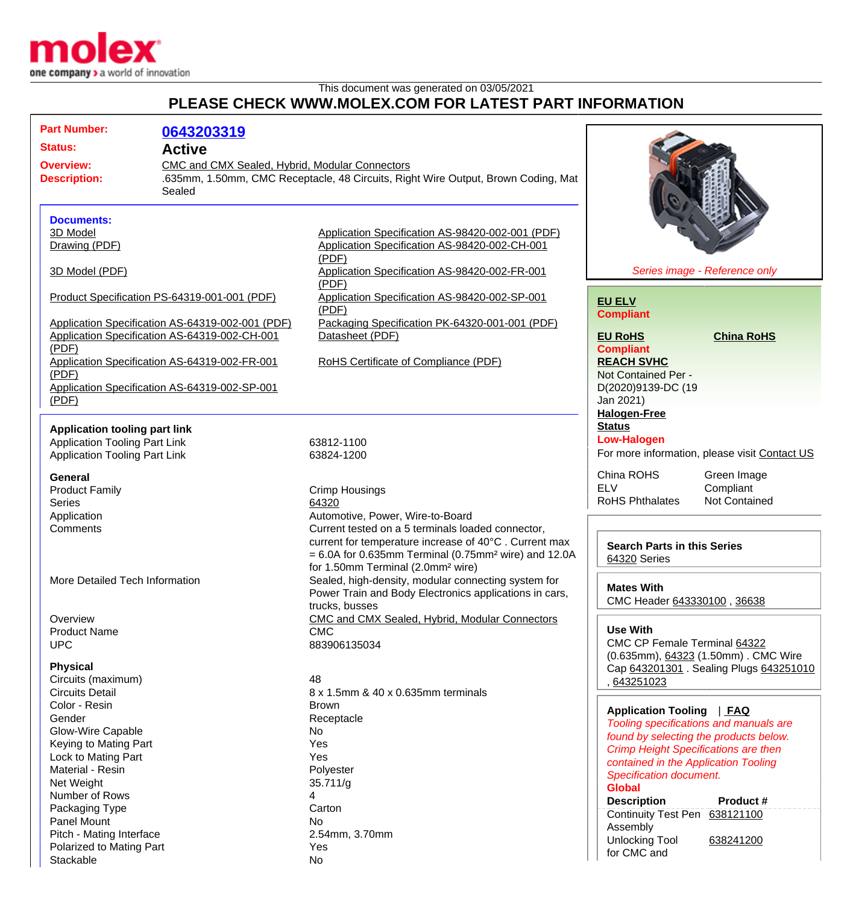

This document was generated on 03/05/2021

## **PLEASE CHECK WWW.MOLEX.COM FOR LATEST PART INFORMATION**

| <b>Part Number:</b>                  |                                                  |                                                                                   |                                               |
|--------------------------------------|--------------------------------------------------|-----------------------------------------------------------------------------------|-----------------------------------------------|
|                                      | 0643203319                                       |                                                                                   |                                               |
| <b>Status:</b>                       | <b>Active</b>                                    |                                                                                   |                                               |
| <b>Overview:</b>                     | CMC and CMX Sealed, Hybrid, Modular Connectors   |                                                                                   |                                               |
| <b>Description:</b>                  |                                                  | .635mm, 1.50mm, CMC Receptacle, 48 Circuits, Right Wire Output, Brown Coding, Mat |                                               |
|                                      | Sealed                                           |                                                                                   |                                               |
| <b>Documents:</b>                    |                                                  |                                                                                   |                                               |
| 3D Model                             |                                                  | Application Specification AS-98420-002-001 (PDF)                                  |                                               |
| Drawing (PDF)                        |                                                  | Application Specification AS-98420-002-CH-001                                     |                                               |
|                                      |                                                  | (PDF)                                                                             |                                               |
| 3D Model (PDF)                       |                                                  | Application Specification AS-98420-002-FR-001<br>(PDF)                            | Series image - Reference only                 |
|                                      | Product Specification PS-64319-001-001 (PDF)     | Application Specification AS-98420-002-SP-001                                     |                                               |
|                                      |                                                  | (PDF)                                                                             | <b>EU ELV</b>                                 |
|                                      | Application Specification AS-64319-002-001 (PDF) | Packaging Specification PK-64320-001-001 (PDF)                                    | <b>Compliant</b>                              |
|                                      | Application Specification AS-64319-002-CH-001    | Datasheet (PDF)                                                                   | <b>EU RoHS</b><br><b>China RoHS</b>           |
| (PDF)                                |                                                  |                                                                                   | <b>Compliant</b>                              |
|                                      | Application Specification AS-64319-002-FR-001    | <b>RoHS Certificate of Compliance (PDF)</b>                                       | <b>REACH SVHC</b>                             |
| (PDF)                                |                                                  |                                                                                   | Not Contained Per -                           |
|                                      | Application Specification AS-64319-002-SP-001    |                                                                                   |                                               |
|                                      |                                                  |                                                                                   | D(2020)9139-DC (19                            |
| (PDF)                                |                                                  |                                                                                   | Jan 2021)                                     |
|                                      |                                                  |                                                                                   | <b>Halogen-Free</b>                           |
| <b>Application tooling part link</b> |                                                  |                                                                                   | <b>Status</b>                                 |
| <b>Application Tooling Part Link</b> |                                                  | 63812-1100                                                                        | <b>Low-Halogen</b>                            |
| <b>Application Tooling Part Link</b> |                                                  | 63824-1200                                                                        | For more information, please visit Contact US |
| <b>General</b>                       |                                                  |                                                                                   | China ROHS<br>Green Image                     |
| <b>Product Family</b>                |                                                  | <b>Crimp Housings</b>                                                             | <b>ELV</b><br>Compliant                       |
| <b>Series</b>                        |                                                  | 64320                                                                             | <b>RoHS Phthalates</b><br>Not Contained       |
| Application                          |                                                  | Automotive, Power, Wire-to-Board                                                  |                                               |
| Comments                             |                                                  | Current tested on a 5 terminals loaded connector,                                 |                                               |
|                                      |                                                  | current for temperature increase of 40°C. Current max                             |                                               |
|                                      |                                                  |                                                                                   | <b>Search Parts in this Series</b>            |
|                                      |                                                  | $= 6.0A$ for 0.635mm Terminal (0.75mm <sup>2</sup> wire) and 12.0A                | 64320 Series                                  |
|                                      |                                                  | for 1.50mm Terminal (2.0mm <sup>2</sup> wire)                                     |                                               |
| More Detailed Tech Information       |                                                  | Sealed, high-density, modular connecting system for                               | <b>Mates With</b>                             |
|                                      |                                                  | Power Train and Body Electronics applications in cars,                            | CMC Header 643330100, 36638                   |
|                                      |                                                  | trucks, busses                                                                    |                                               |
| Overview                             |                                                  | CMC and CMX Sealed, Hybrid, Modular Connectors                                    |                                               |
| <b>Product Name</b>                  |                                                  | <b>CMC</b>                                                                        | <b>Use With</b>                               |
| <b>UPC</b>                           |                                                  | 883906135034                                                                      | CMC CP Female Terminal 64322                  |
| <b>Physical</b>                      |                                                  |                                                                                   | (0.635mm), 64323 (1.50mm). CMC Wire           |
| Circuits (maximum)                   |                                                  | 48                                                                                | Cap 643201301 . Sealing Plugs 643251010       |
| <b>Circuits Detail</b>               |                                                  | 8 x 1.5mm & 40 x 0.635mm terminals                                                | 643251023                                     |
| Color - Resin                        |                                                  |                                                                                   |                                               |
|                                      |                                                  | <b>Brown</b>                                                                      | Application Tooling   FAQ                     |
| Gender                               |                                                  | Receptacle                                                                        | Tooling specifications and manuals are        |
| Glow-Wire Capable                    |                                                  | No                                                                                | found by selecting the products below.        |
| Keying to Mating Part                |                                                  | Yes                                                                               | <b>Crimp Height Specifications are then</b>   |
| Lock to Mating Part                  |                                                  | Yes                                                                               | contained in the Application Tooling          |
| Material - Resin                     |                                                  | Polyester                                                                         | Specification document.                       |
| Net Weight                           |                                                  | 35.711/g                                                                          | <b>Global</b>                                 |
| Number of Rows                       |                                                  | 4                                                                                 | <b>Description</b><br><b>Product #</b>        |
| Packaging Type                       |                                                  | Carton                                                                            | Continuity Test Pen 638121100                 |
| Panel Mount                          |                                                  | No.                                                                               | Assembly                                      |
| Pitch - Mating Interface             |                                                  | 2.54mm, 3.70mm                                                                    | <b>Unlocking Tool</b><br>638241200            |
| Polarized to Mating Part             |                                                  | Yes                                                                               | for CMC and                                   |
| Stackable                            |                                                  | <b>No</b>                                                                         |                                               |